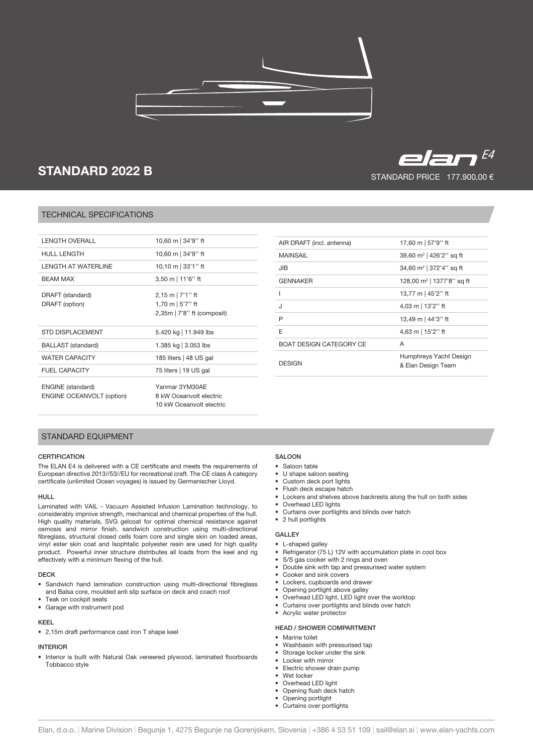

# STANDARD 2022 B

# TECHNICAL SPECIFICATIONS

| 10,60 m   34'9" ft                                                         |
|----------------------------------------------------------------------------|
| 10,60 m   34'9" ft                                                         |
| 10,10 m $ 33'1''$ ft                                                       |
| $3,50 \text{ m}$   11'6'' ft                                               |
| $2,15$ m   7'1" ft<br>1,70 m $\vert$ 5'7" ft<br>2,35m   7'8" ft (composit) |
| 5.420 kg   11.949 lbs                                                      |
| 1.385 kg   3.053 lbs                                                       |
| 185 liters   48 US gal                                                     |
| 75 liters   19 US gal                                                      |
| Yanmar 3YM30AE<br>8 kW Oceanvolt electric<br>10 kW Oceanvolt electric      |
|                                                                            |

| AIR DRAFT (incl. antenna)      | 17,60 m   57'9'' ft                          |
|--------------------------------|----------------------------------------------|
| <b>MAINSAIL</b>                | 39,60 m <sup>2</sup>   426'2" sq ft          |
| JIB                            | 34,60 m <sup>2</sup>   372'4" sq ft          |
| <b>GENNAKER</b>                | 128,00 m <sup>2</sup>   1377'8" sq ft        |
|                                | 13,77 m   45'2" ft                           |
| ۱.                             | 4,03 m   13'2" ft                            |
| P                              | 13,49 m   44'3" ft                           |
| F                              | 4,63 m   15'2" ft                            |
| <b>BOAT DESIGN CATEGORY CE</b> | A                                            |
| <b>DESIGN</b>                  | Humphreys Yacht Design<br>& Elan Design Team |

STANDARD PRICE 177.900,00 €

 $E=$ 

# STANDARD EQUIPMENT

## **CERTIFICATION**

The ELAN E4 is delivered with a CE certificate and meets the requirements of European directive 2013//53//EU for recreational craft. The CE class A category certificate (unlimited Ocean voyages) is issued by Germanischer Lloyd.

#### HULL

Laminated with VAIL - Vacuum Assisted Infusion Lamination technology, to considerably improve strength, mechanical and chemical properties of the hull. High quality materials, SVG gelcoat for optimal chemical resistance against osmosis and mirror finish, sandwich construction using multi-directional fibreglass, structural closed cells foam core and single skin on loaded areas, vinyl ester skin coat and Isophtalic polyester resin are used for high quality product. Powerful inner structure distributes all loads from the keel and rig effectively with a minimum flexing of the hull.

### DECK

- Sandwich hand lamination construction using multi-directional fibreglass and Balsa core, moulded anti slip surface on deck and coach roof
- Teak on cockpit seats • Garage with instrument pod

#### KEEL

• 2,15m draft performance cast iron T shape keel

## INTERIOR

• Interior is built with Natural Oak veneered plywood, laminated floorboards Tobbacco style

# **SALOON**

- Saloon table
- U shape saloon seating
- Custom deck port lights
- Flush deck escape hatch
- Lockers and shelves above backrests along the hull on both sides
- Overhead LED lights
- Curtains over portlights and blinds over hatch • 2 hull portlights
- 

# GALLEY

- L-shaped galley
- Refrigerator (75 L) 12V with accumulation plate in cool box
- S/S gas cooker with 2 rings and oven • Double sink with tap and pressurised water system
- Cooker and sink covers
- 
- Lockers, cupboards and drawer • Opening portlight above galley
- 
- Overhead LED light, LED light over the worktop • Curtains over portlights and blinds over hatch
- Acrylic water protector
- 

## HEAD / SHOWER COMPARTMENT

- Marine toilet
- Washbasin with pressurised tap
- Storage locker under the sink
- Locker with mirror
- Electric shower drain pump
- Wet locker • Overhead LED light
- Opening flush deck hatch
- Opening portlight
- Curtains over portlights